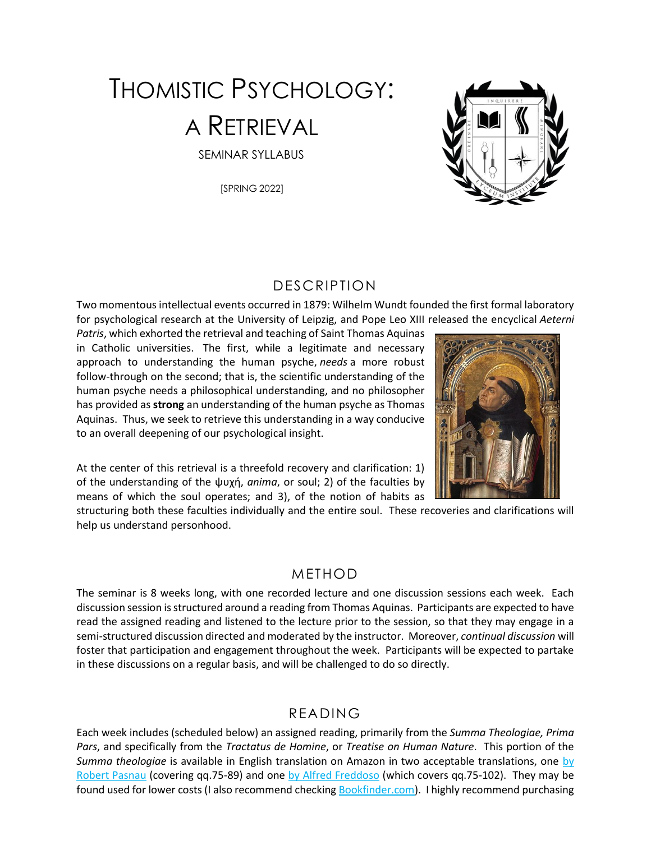# THOMISTIC PSYCHOLOGY: A RETRIEVAL SEMINAR SYLLABUS

[SPRING 2022]



#### DESCRIPTION

Two momentous intellectual events occurred in 1879: Wilhelm Wundt founded the first formal laboratory for psychological research at the University of Leipzig, and Pope Leo XIII released the encyclical *Aeterni* 

*Patris*, which exhorted the retrieval and teaching of Saint Thomas Aquinas in Catholic universities. The first, while a legitimate and necessary approach to understanding the human psyche, *needs* a more robust follow-through on the second; that is, the scientific understanding of the human psyche needs a philosophical understanding, and no philosopher has provided as **strong** an understanding of the human psyche as Thomas Aquinas. Thus, we seek to retrieve this understanding in a way conducive to an overall deepening of our psychological insight.



At the center of this retrieval is a threefold recovery and clarification: 1) of the understanding of the ψυχή, *anima*, or soul; 2) of the faculties by means of which the soul operates; and 3), of the notion of habits as

structuring both these faculties individually and the entire soul. These recoveries and clarifications will help us understand personhood.

#### METHOD

The seminar is 8 weeks long, with one recorded lecture and one discussion sessions each week. Each discussion session is structured around a reading from Thomas Aquinas. Participants are expected to have read the assigned reading and listened to the lecture prior to the session, so that they may engage in a semi-structured discussion directed and moderated by the instructor. Moreover, *continual discussion* will foster that participation and engagement throughout the week. Participants will be expected to partake in these discussions on a regular basis, and will be challenged to do so directly.

#### READING

Each week includes (scheduled below) an assigned reading, primarily from the *Summa Theologiae, Prima Pars*, and specifically from the *Tractatus de Homine*, or *Treatise on Human Nature*. This portion of the *Summa theologiae* is available in English translation on Amazon in two acceptable translations, one [by](https://www.amazon.com/Treatise-Human-Nature-Theologiae-Hackett/dp/0872206130/)  [Robert Pasnau](https://www.amazon.com/Treatise-Human-Nature-Theologiae-Hackett/dp/0872206130/) (covering qq.75-89) and one [by Alfred Freddoso](https://www.amazon.com/Treatise-Human-Nature-Theologiae-Questions/dp/1587318814/) (which covers qq.75-102). They may be found used for lower costs (I also recommend checkin[g Bookfinder.com\)](https://bookfinder.com/). I highly recommend purchasing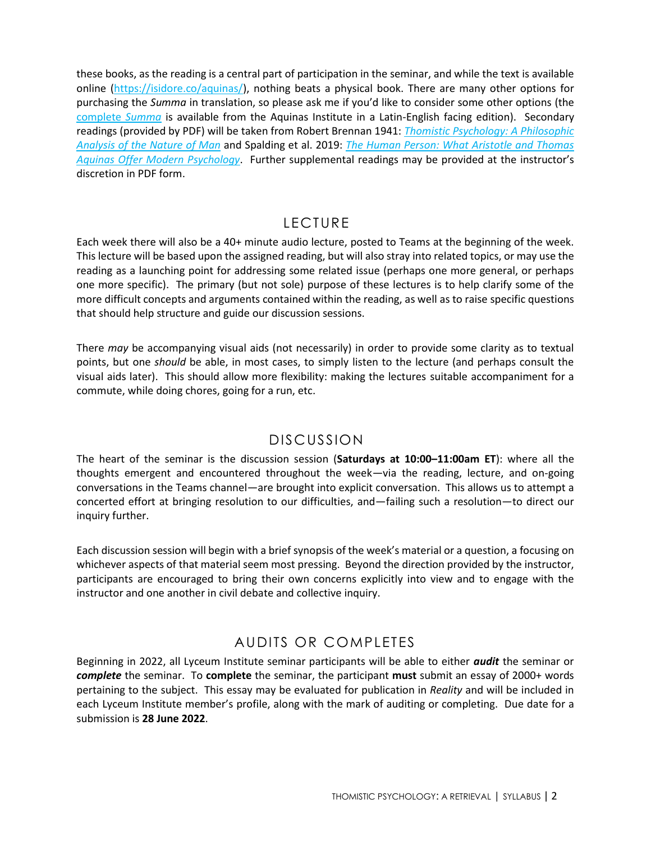these books, as the reading is a central part of participation in the seminar, and while the text is available online [\(https://isidore.co/aquinas/\)](https://isidore.co/aquinas/), nothing beats a physical book. There are many other options for purchasing the *Summa* in translation, so please ask me if you'd like to consider some other options (the [complete](https://www.amazon.com/Summa-Theologiae-Saint-Thomas-Aquinas/dp/1623400147/) *Summa* is available from the Aquinas Institute in a Latin-English facing edition). Secondary readings (provided by PDF) will be taken from Robert Brennan 1941: *[Thomistic Psychology: A Philosophic](https://clunymedia.com/products/thomistic-psychology?_pos=1&_sid=9d4fb8b50&_ss=r)  [Analysis of the Nature of Man](https://clunymedia.com/products/thomistic-psychology?_pos=1&_sid=9d4fb8b50&_ss=r)* and Spalding et al. 2019: *[The Human Person: What Aristotle and Thomas](https://www.amazon.com/Human-Person-Aristotle-Aquinas-Psychology-ebook/dp/B082YY6K41)  [Aquinas Offer Modern](https://www.amazon.com/Human-Person-Aristotle-Aquinas-Psychology-ebook/dp/B082YY6K41) Psychology*. Further supplemental readings may be provided at the instructor's discretion in PDF form.

#### LECTURE

Each week there will also be a 40+ minute audio lecture, posted to Teams at the beginning of the week. This lecture will be based upon the assigned reading, but will also stray into related topics, or may use the reading as a launching point for addressing some related issue (perhaps one more general, or perhaps one more specific). The primary (but not sole) purpose of these lectures is to help clarify some of the more difficult concepts and arguments contained within the reading, as well as to raise specific questions that should help structure and guide our discussion sessions.

There *may* be accompanying visual aids (not necessarily) in order to provide some clarity as to textual points, but one *should* be able, in most cases, to simply listen to the lecture (and perhaps consult the visual aids later). This should allow more flexibility: making the lectures suitable accompaniment for a commute, while doing chores, going for a run, etc.

## DISCUSSION

The heart of the seminar is the discussion session (**Saturdays at 10:00–11:00am ET**): where all the thoughts emergent and encountered throughout the week—via the reading, lecture, and on-going conversations in the Teams channel—are brought into explicit conversation. This allows us to attempt a concerted effort at bringing resolution to our difficulties, and—failing such a resolution—to direct our inquiry further.

Each discussion session will begin with a brief synopsis of the week's material or a question, a focusing on whichever aspects of that material seem most pressing. Beyond the direction provided by the instructor, participants are encouraged to bring their own concerns explicitly into view and to engage with the instructor and one another in civil debate and collective inquiry.

## AUDITS OR COMPLETES

Beginning in 2022, all Lyceum Institute seminar participants will be able to either *audit* the seminar or *complete* the seminar. To **complete** the seminar, the participant **must** submit an essay of 2000+ words pertaining to the subject. This essay may be evaluated for publication in *Reality* and will be included in each Lyceum Institute member's profile, along with the mark of auditing or completing. Due date for a submission is **28 June 2022**.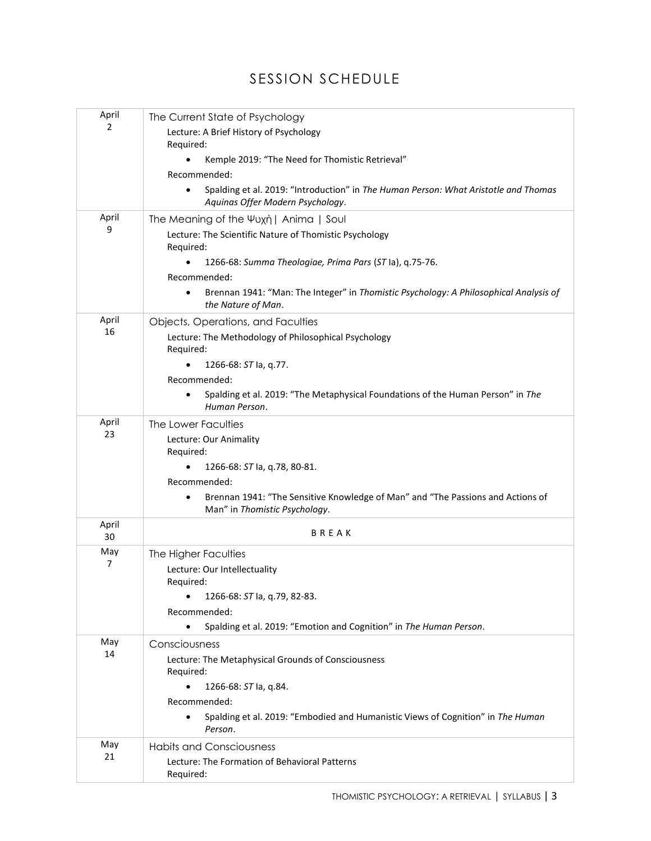## SESSION SCHEDULE

| April<br>$\overline{2}$ | The Current State of Psychology                                                                                         |
|-------------------------|-------------------------------------------------------------------------------------------------------------------------|
|                         | Lecture: A Brief History of Psychology                                                                                  |
|                         | Required:                                                                                                               |
|                         | Kemple 2019: "The Need for Thomistic Retrieval"                                                                         |
|                         | Recommended:                                                                                                            |
|                         | Spalding et al. 2019: "Introduction" in The Human Person: What Aristotle and Thomas<br>Aquinas Offer Modern Psychology. |
| April<br>9              | The Meaning of the Ψυχή   Anima   Soul                                                                                  |
|                         | Lecture: The Scientific Nature of Thomistic Psychology<br>Required:                                                     |
|                         | 1266-68: Summa Theologiae, Prima Pars (ST la), q.75-76.                                                                 |
|                         | Recommended:                                                                                                            |
|                         | Brennan 1941: "Man: The Integer" in Thomistic Psychology: A Philosophical Analysis of<br>the Nature of Man.             |
| April<br>16             | Objects, Operations, and Faculties                                                                                      |
|                         | Lecture: The Methodology of Philosophical Psychology                                                                    |
|                         | Required:                                                                                                               |
|                         | 1266-68: ST la, q.77.                                                                                                   |
|                         | Recommended:                                                                                                            |
|                         | Spalding et al. 2019: "The Metaphysical Foundations of the Human Person" in The<br>Human Person.                        |
| April<br>23             | The Lower Faculties                                                                                                     |
|                         | Lecture: Our Animality<br>Required:                                                                                     |
|                         | 1266-68: ST la, q.78, 80-81.                                                                                            |
|                         | Recommended:                                                                                                            |
|                         | Brennan 1941: "The Sensitive Knowledge of Man" and "The Passions and Actions of<br>Man" in Thomistic Psychology.        |
| April<br>30             | BREAK                                                                                                                   |
| May<br>7                | The Higher Faculties                                                                                                    |
|                         | Lecture: Our Intellectuality<br>Required:                                                                               |
|                         | 1266-68: ST la, q.79, 82-83.<br>$\bullet$                                                                               |
|                         | Recommended:                                                                                                            |
|                         | Spalding et al. 2019: "Emotion and Cognition" in The Human Person.                                                      |
| May<br>14               | Consciousness                                                                                                           |
|                         | Lecture: The Metaphysical Grounds of Consciousness                                                                      |
|                         | Required:                                                                                                               |
|                         | 1266-68: ST la, q.84.<br>$\bullet$                                                                                      |
|                         | Recommended:                                                                                                            |
|                         | Spalding et al. 2019: "Embodied and Humanistic Views of Cognition" in The Human<br>Person.                              |
| May<br>21               | <b>Habits and Consciousness</b>                                                                                         |
|                         | Lecture: The Formation of Behavioral Patterns                                                                           |
|                         | Required:                                                                                                               |